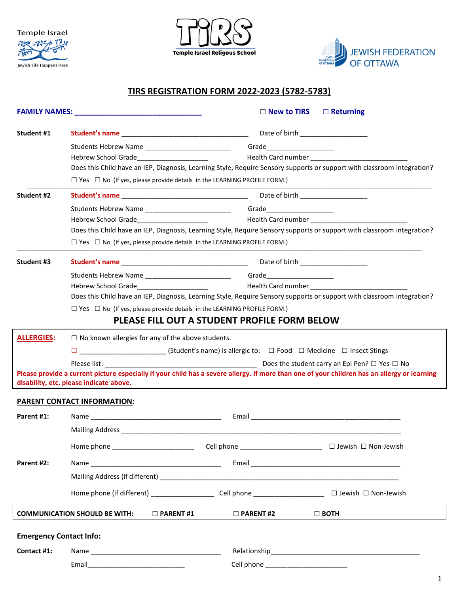





## **TIRS REGISTRATION FORM 2022-2023 (5782-5783)**

|                                |                                                                                                      | $\square$ New to TIRS                        | $\Box$ Returning                                                                                                                             |
|--------------------------------|------------------------------------------------------------------------------------------------------|----------------------------------------------|----------------------------------------------------------------------------------------------------------------------------------------------|
| Student #1                     |                                                                                                      |                                              | Date of birth ___________________                                                                                                            |
|                                |                                                                                                      |                                              |                                                                                                                                              |
|                                |                                                                                                      |                                              |                                                                                                                                              |
|                                |                                                                                                      |                                              | Does this Child have an IEP, Diagnosis, Learning Style, Require Sensory supports or support with classroom integration?                      |
|                                | $\Box$ Yes $\Box$ No (If yes, please provide details in the LEARNING PROFILE FORM.)                  |                                              |                                                                                                                                              |
| Student #2                     |                                                                                                      |                                              | Date of birth ___________________                                                                                                            |
|                                |                                                                                                      |                                              |                                                                                                                                              |
|                                |                                                                                                      |                                              |                                                                                                                                              |
|                                |                                                                                                      |                                              | Does this Child have an IEP, Diagnosis, Learning Style, Require Sensory supports or support with classroom integration?                      |
|                                | $\Box$ Yes $\Box$ No (If yes, please provide details in the LEARNING PROFILE FORM.)                  |                                              |                                                                                                                                              |
| Student #3                     |                                                                                                      |                                              |                                                                                                                                              |
|                                |                                                                                                      |                                              |                                                                                                                                              |
|                                |                                                                                                      |                                              |                                                                                                                                              |
|                                |                                                                                                      |                                              | Does this Child have an IEP, Diagnosis, Learning Style, Require Sensory supports or support with classroom integration?                      |
|                                | $\Box$ Yes $\Box$ No (If yes, please provide details in the LEARNING PROFILE FORM.)                  |                                              |                                                                                                                                              |
|                                |                                                                                                      | PLEASE FILL OUT A STUDENT PROFILE FORM BELOW |                                                                                                                                              |
| <b>ALLERGIES:</b>              | $\Box$ No known allergies for any of the above students.                                             |                                              |                                                                                                                                              |
|                                | $\square$ (Student's name) is allergic to: $\square$ Food $\square$ Medicine $\square$ Insect Stings |                                              |                                                                                                                                              |
|                                |                                                                                                      |                                              |                                                                                                                                              |
|                                | disability, etc. please indicate above.                                                              |                                              | Please provide a current picture especially if your child has a severe allergy. If more than one of your children has an allergy or learning |
|                                | <b>PARENT CONTACT INFORMATION:</b>                                                                   |                                              |                                                                                                                                              |
|                                |                                                                                                      |                                              |                                                                                                                                              |
| Parent #1:                     |                                                                                                      |                                              |                                                                                                                                              |
|                                |                                                                                                      |                                              |                                                                                                                                              |
|                                |                                                                                                      | Cell phone _________________________         | □ Jewish □ Non-Jewish                                                                                                                        |
| Parent #2:                     |                                                                                                      |                                              |                                                                                                                                              |
|                                |                                                                                                      |                                              |                                                                                                                                              |
|                                |                                                                                                      |                                              |                                                                                                                                              |
|                                | <b>COMMUNICATION SHOULD BE WITH:</b><br>$\Box$ PARENT #1                                             | $\Box$ PARENT #2                             | $\Box$ BOTH                                                                                                                                  |
| <b>Emergency Contact Info:</b> |                                                                                                      |                                              |                                                                                                                                              |
|                                |                                                                                                      |                                              |                                                                                                                                              |
| Contact #1:                    |                                                                                                      |                                              |                                                                                                                                              |
|                                |                                                                                                      | Cell phone __________________________        |                                                                                                                                              |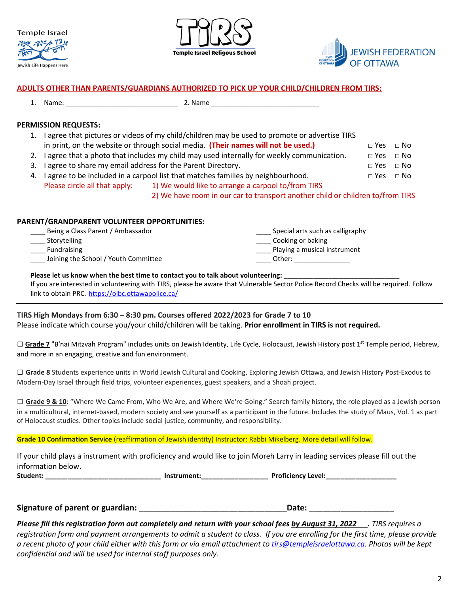





#### **ADULTS OTHER THAN PARENTS/GUARDIANS AUTHORIZED TO PICK UP YOUR CHILD/CHILDREN FROM TIRS:**

1. Name: \_\_\_\_\_\_\_\_\_\_\_\_\_\_\_\_\_\_\_\_\_\_\_\_\_\_\_\_\_\_ 2. Name \_\_\_\_\_\_\_\_\_\_\_\_\_\_\_\_\_\_\_\_\_\_\_\_\_\_\_\_\_

#### **PERMISSION REQUESTS:**

- 1. I agree that pictures or videos of my child/children may be used to promote or advertise TIRS in print, on the website or through social media. **(Their names will not be used.) □** Yes **□** No
- 2. I agree that a photo that includes my child may used internally for weekly communication. **□** Yes **□** No
- 3. I agree to share my email address for the Parent Directory. **□** Yes **□** No
- 4. I agree to be included in a carpool list that matches families by neighbourhood.  $\Box$  Yes  $\Box$  No Please circle all that apply: 1) We would like to arrange a carpool to/from TIRS
	- 2) We have room in our car to transport another child or children to/from TIRS

### **PARENT/GRANDPARENT VOLUNTEER OPPORTUNITIES:**

| Being a Class Parent / Ambassador    | Special arts such as calligraphy |
|--------------------------------------|----------------------------------|
| Storytelling                         | Cooking or baking                |
| Fundraising                          | Playing a musical instrument     |
| Joining the School / Youth Committee | Other:                           |
|                                      |                                  |

### Please let us know when the best time to contact you to talk about volunteering: \_\_\_\_\_\_\_\_\_\_\_\_\_\_\_\_\_\_\_\_\_\_\_\_\_\_\_\_\_\_

If you are interested in volunteering with TIRS, please be aware that Vulnerable Sector Police Record Checks will be required. Follow link to obtain PRC. <https://olbc.ottawapolice.ca/>

## **TIRS High Mondays from 6:30 – 8:30 pm. Courses offered 2022/2023 for Grade 7 to 10**

Please indicate which course you/your child/children will be taking. **Prior enrollment in TIRS is not required.**

□ **Grade 7** "B'nai Mitzvah Program" includes units on Jewish Identity, Life Cycle, Holocaust, Jewish History post 1<sup>st</sup> Temple period, Hebrew, and more in an engaging, creative and fun environment.

**□ Grade 8** Students experience units in World Jewish Cultural and Cooking, Exploring Jewish Ottawa, and Jewish History Post-Exodus to Modern-Day Israel through field trips, volunteer experiences, guest speakers, and a Shoah project.

**□ Grade 9 & 10**: "Where We Came From, Who We Are, and Where We're Going." Search family history, the role played as a Jewish person in a multicultural, internet-based, modern society and see yourself as a participant in the future. Includes the study of Maus, Vol. 1 as part of Holocaust studies. Other topics include social justice, community, and responsibility.

## **Grade 10 Confirmation Service** (reaffirmation of Jewish identity) Instructor: Rabbi Mikelberg. More detail will follow.

If your child plays a instrument with proficiency and would like to join Moreh Larry in leading services please fill out the information below. **Student: \_\_\_\_\_\_\_\_\_\_\_\_\_\_\_\_\_\_\_\_\_\_\_\_\_\_\_\_\_\_\_ Instrument:\_\_\_\_\_\_\_\_\_\_\_\_\_\_\_\_\_\_ Proficiency Level:\_\_\_\_\_\_\_\_\_\_\_\_\_\_\_\_\_\_\_**

\_\_\_\_\_\_\_\_\_\_\_\_\_\_\_\_\_\_\_\_\_\_\_\_\_\_\_\_\_\_\_\_\_\_\_\_\_\_\_\_\_\_\_\_\_\_\_\_\_\_\_\_\_\_\_\_\_\_\_\_\_\_\_\_\_\_\_\_\_\_\_\_\_\_\_\_\_\_\_\_\_\_\_\_\_\_\_\_\_\_\_\_\_\_\_\_\_\_\_\_\_\_\_\_\_\_\_\_\_\_\_\_\_\_\_\_\_\_\_\_\_\_\_\_\_\_\_\_\_\_\_\_\_\_\_\_\_\_\_\_\_\_\_\_\_\_\_\_\_\_\_\_\_\_\_\_\_\_\_\_\_\_\_\_\_\_\_\_\_\_\_\_\_\_\_

**Signature of parent or guardian:** \_\_\_\_\_\_\_\_\_\_\_\_\_\_\_\_\_\_\_\_\_\_\_\_\_\_\_\_\_\_\_\_\_**Date:** \_\_\_\_\_\_\_\_\_\_\_\_\_\_\_\_\_\_\_

*Please fill this registration form out completely and return with your school fees by August 31, 2022 . TIRS requires a registration form and payment arrangements to admit a student to class. If you are enrolling for the first time, please provide a recent photo of your child either with this form or via email attachment to [tirs@templeisraelottawa.ca.](mailto:tirs@templeisraelottawa.ca) Photos will be kept confidential and will be used for internal staff purposes only.*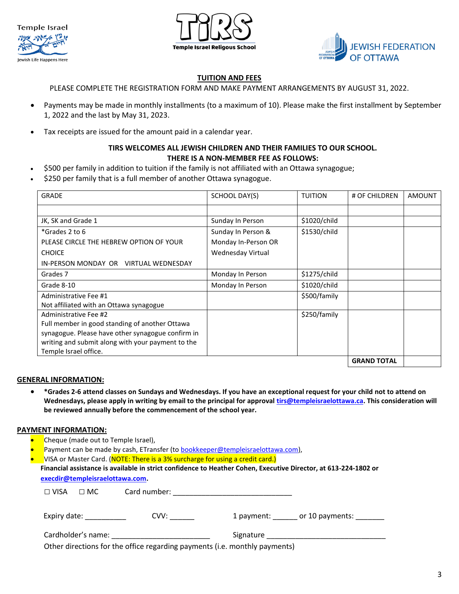





#### **TUITION AND FEES**

PLEASE COMPLETE THE REGISTRATION FORM AND MAKE PAYMENT ARRANGEMENTS BY AUGUST 31, 2022.

- Payments may be made in monthly installments (to a maximum of 10). Please make the first installment by September 1, 2022 and the last by May 31, 2023.
- Tax receipts are issued for the amount paid in a calendar year.

#### **TIRS WELCOMES ALL JEWISH CHILDREN AND THEIR FAMILIES TO OUR SCHOOL. THERE IS A NON-MEMBER FEE AS FOLLOWS:**

- \$500 per family in addition to tuition if the family is not affiliated with an Ottawa synagogue;
- \$250 per family that is a full member of another Ottawa synagogue.

| <b>GRADE</b>                                      | SCHOOL DAY(S)       | <b>TUITION</b> | # OF CHILDREN      | <b>AMOUNT</b> |
|---------------------------------------------------|---------------------|----------------|--------------------|---------------|
|                                                   |                     |                |                    |               |
| JK, SK and Grade 1                                | Sunday In Person    | \$1020/child   |                    |               |
| *Grades 2 to 6                                    | Sunday In Person &  | \$1530/child   |                    |               |
| PLEASE CIRCLE THE HEBREW OPTION OF YOUR           | Monday In-Person OR |                |                    |               |
| <b>CHOICE</b>                                     | Wednesday Virtual   |                |                    |               |
| IN-PERSON MONDAY OR VIRTUAL WEDNESDAY             |                     |                |                    |               |
| Grades 7                                          | Monday In Person    | \$1275/child   |                    |               |
| Grade 8-10                                        | Monday In Person    | \$1020/child   |                    |               |
| Administrative Fee #1                             |                     | \$500/family   |                    |               |
| Not affiliated with an Ottawa synagogue           |                     |                |                    |               |
| Administrative Fee #2                             |                     | \$250/family   |                    |               |
| Full member in good standing of another Ottawa    |                     |                |                    |               |
| synagogue. Please have other synagogue confirm in |                     |                |                    |               |
| writing and submit along with your payment to the |                     |                |                    |               |
| Temple Israel office.                             |                     |                |                    |               |
|                                                   |                     |                | <b>GRAND TOTAL</b> |               |

#### **GENERAL INFORMATION:**

• **\*Grades 2-6 attend classes on Sundays and Wednesdays. If you have an exceptional request for your child not to attend on Wednesdays, please apply in writing by email to the principal for approval [tirs@templeisraelottawa.ca.](mailto:tirs@templeisraelottawa.ca) This consideration will be reviewed annually before the commencement of the school year.**

#### **PAYMENT INFORMATION:**

- Cheque (made out to Temple Israel),
- Payment can be made by cash, ETransfer (to **bookkeeper@templeisraelottawa.com)**,
- VISA or Master Card. (NOTE: There is a 3% surcharge for using a credit card.)
- **Financial assistance is available in strict confidence to Heather Cohen, Executive Director, at 613-224-1802 or [execdir@templeisraelottawa.com.](mailto:execdir@templeisraelottawa.com)**

| $\Box$ VISA | $\Box$ MC                 | Card number:                                                               |            |                 |
|-------------|---------------------------|----------------------------------------------------------------------------|------------|-----------------|
|             | Expiry date: North Marson | CVV:                                                                       | 1 payment: | or 10 payments: |
|             | Cardholder's name:        |                                                                            | Signature  |                 |
|             |                           | Other directions for the office regarding payments (i.e. monthly payments) |            |                 |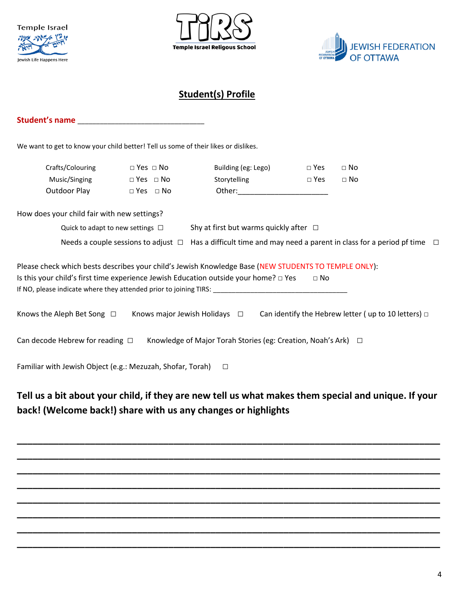





# **Student(s) Profile**

#### **Student's name Example 2018**

We want to get to know your child better! Tell us some of their likes or dislikes.

| Crafts/Colouring | $\Box$ Yes $\Box$ No | Building (eg: Lego) | $\Box$ Yes | $\Box$ No |
|------------------|----------------------|---------------------|------------|-----------|
| Music/Singing    | $\Box$ Yes $\Box$ No | Storytelling        | $\Box$ Yes | $\Box$ No |
| Outdoor Play     | $\Box$ Yes $\Box$ No | Other:              |            |           |

How does your child fair with new settings?

Quick to adapt to new settings **□** Shy at first but warms quickly after **□** 

|  | Needs a couple sessions to adjust $\Box$ Has a difficult time and may need a parent in class for a period pf time $\Box$ |
|--|--------------------------------------------------------------------------------------------------------------------------|
|--|--------------------------------------------------------------------------------------------------------------------------|

| Please check which bests describes your child's Jewish Knowledge Base (NEW STUDENTS TO TEMPLE ONLY): |             |
|------------------------------------------------------------------------------------------------------|-------------|
| Is this your child's first time experience Jewish Education outside your home? $\Box$ Yes            | $\sqcap$ No |
| If NO, please indicate where they attended prior to joining TIRS:                                    |             |

| Knows the Aleph Bet Song $\Box$ | Knows major Jewish Holidays $\Box$ |  | Can identify the Hebrew letter (up to 10 letters) $\Box$ |  |
|---------------------------------|------------------------------------|--|----------------------------------------------------------|--|
|---------------------------------|------------------------------------|--|----------------------------------------------------------|--|

Can decode Hebrew for reading **□** Knowledge of Major Torah Stories (eg: Creation, Noah's Ark) **□**

Familiar with Jewish Object (e.g.: Mezuzah, Shofar, Torah) **□**

# **Tell us a bit about your child, if they are new tell us what makes them special and unique. If your back! (Welcome back!) share with us any changes or highlights**